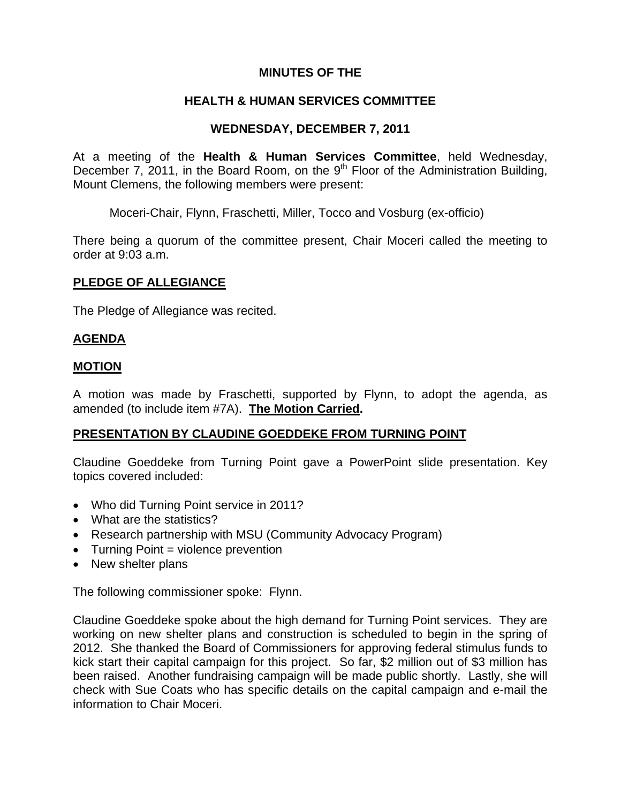# **MINUTES OF THE**

# **HEALTH & HUMAN SERVICES COMMITTEE**

## **WEDNESDAY, DECEMBER 7, 2011**

At a meeting of the **Health & Human Services Committee**, held Wednesday, December 7, 2011, in the Board Room, on the  $9<sup>th</sup>$  Floor of the Administration Building, Mount Clemens, the following members were present:

Moceri-Chair, Flynn, Fraschetti, Miller, Tocco and Vosburg (ex-officio)

There being a quorum of the committee present, Chair Moceri called the meeting to order at 9:03 a.m.

## **PLEDGE OF ALLEGIANCE**

The Pledge of Allegiance was recited.

# **AGENDA**

## **MOTION**

A motion was made by Fraschetti, supported by Flynn, to adopt the agenda, as amended (to include item #7A). **The Motion Carried.** 

# **PRESENTATION BY CLAUDINE GOEDDEKE FROM TURNING POINT**

Claudine Goeddeke from Turning Point gave a PowerPoint slide presentation. Key topics covered included:

- Who did Turning Point service in 2011?
- What are the statistics?
- Research partnership with MSU (Community Advocacy Program)
- Turning Point = violence prevention
- New shelter plans

The following commissioner spoke: Flynn.

Claudine Goeddeke spoke about the high demand for Turning Point services. They are working on new shelter plans and construction is scheduled to begin in the spring of 2012. She thanked the Board of Commissioners for approving federal stimulus funds to kick start their capital campaign for this project. So far, \$2 million out of \$3 million has been raised. Another fundraising campaign will be made public shortly. Lastly, she will check with Sue Coats who has specific details on the capital campaign and e-mail the information to Chair Moceri.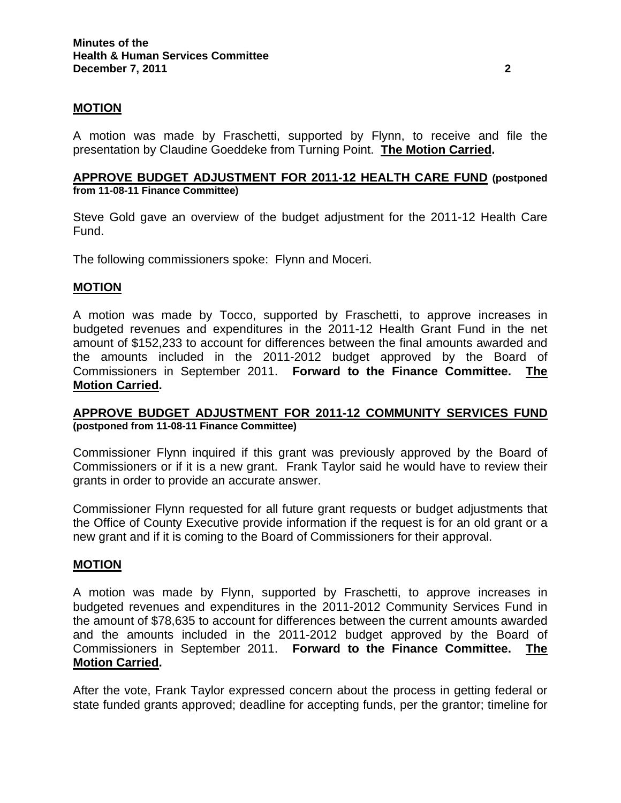## **MOTION**

A motion was made by Fraschetti, supported by Flynn, to receive and file the presentation by Claudine Goeddeke from Turning Point. **The Motion Carried.** 

#### **APPROVE BUDGET ADJUSTMENT FOR 2011-12 HEALTH CARE FUND (postponed from 11-08-11 Finance Committee)**

Steve Gold gave an overview of the budget adjustment for the 2011-12 Health Care Fund.

The following commissioners spoke: Flynn and Moceri.

#### **MOTION**

A motion was made by Tocco, supported by Fraschetti, to approve increases in budgeted revenues and expenditures in the 2011-12 Health Grant Fund in the net amount of \$152,233 to account for differences between the final amounts awarded and the amounts included in the 2011-2012 budget approved by the Board of Commissioners in September 2011. **Forward to the Finance Committee. The Motion Carried.** 

### **APPROVE BUDGET ADJUSTMENT FOR 2011-12 COMMUNITY SERVICES FUND (postponed from 11-08-11 Finance Committee)**

Commissioner Flynn inquired if this grant was previously approved by the Board of Commissioners or if it is a new grant. Frank Taylor said he would have to review their grants in order to provide an accurate answer.

Commissioner Flynn requested for all future grant requests or budget adjustments that the Office of County Executive provide information if the request is for an old grant or a new grant and if it is coming to the Board of Commissioners for their approval.

### **MOTION**

A motion was made by Flynn, supported by Fraschetti, to approve increases in budgeted revenues and expenditures in the 2011-2012 Community Services Fund in the amount of \$78,635 to account for differences between the current amounts awarded and the amounts included in the 2011-2012 budget approved by the Board of Commissioners in September 2011. **Forward to the Finance Committee. The Motion Carried.**

After the vote, Frank Taylor expressed concern about the process in getting federal or state funded grants approved; deadline for accepting funds, per the grantor; timeline for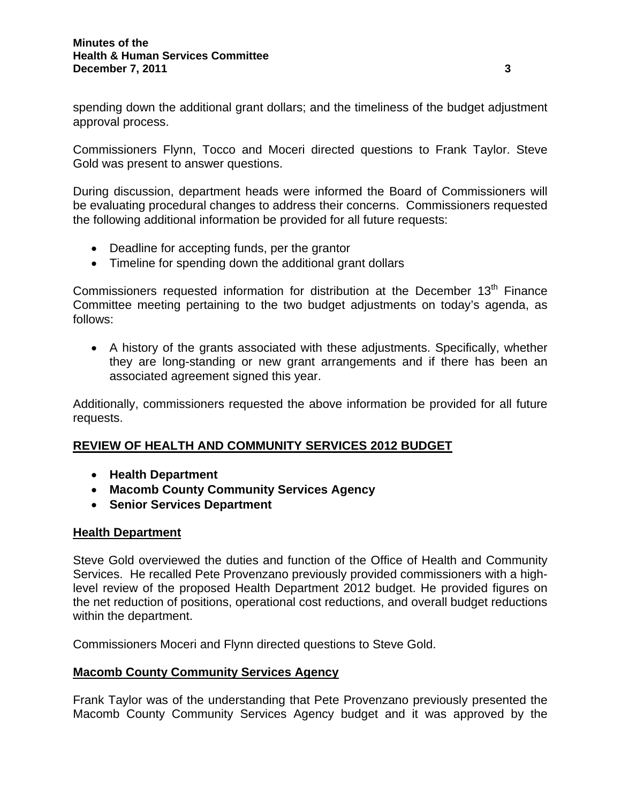spending down the additional grant dollars; and the timeliness of the budget adjustment approval process.

Commissioners Flynn, Tocco and Moceri directed questions to Frank Taylor. Steve Gold was present to answer questions.

During discussion, department heads were informed the Board of Commissioners will be evaluating procedural changes to address their concerns. Commissioners requested the following additional information be provided for all future requests:

- Deadline for accepting funds, per the grantor
- Timeline for spending down the additional grant dollars

Commissioners requested information for distribution at the December  $13<sup>th</sup>$  Finance Committee meeting pertaining to the two budget adjustments on today's agenda, as follows:

• A history of the grants associated with these adjustments. Specifically, whether they are long-standing or new grant arrangements and if there has been an associated agreement signed this year.

Additionally, commissioners requested the above information be provided for all future requests.

# **REVIEW OF HEALTH AND COMMUNITY SERVICES 2012 BUDGET**

- **Health Department**
- **Macomb County Community Services Agency**
- **Senior Services Department**

# **Health Department**

Steve Gold overviewed the duties and function of the Office of Health and Community Services. He recalled Pete Provenzano previously provided commissioners with a highlevel review of the proposed Health Department 2012 budget. He provided figures on the net reduction of positions, operational cost reductions, and overall budget reductions within the department.

Commissioners Moceri and Flynn directed questions to Steve Gold.

# **Macomb County Community Services Agency**

Frank Taylor was of the understanding that Pete Provenzano previously presented the Macomb County Community Services Agency budget and it was approved by the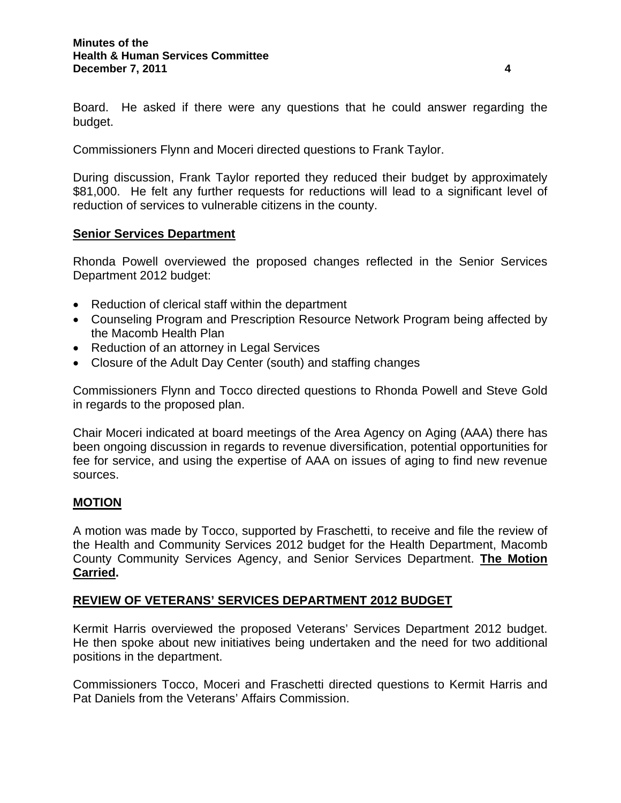Board. He asked if there were any questions that he could answer regarding the budget.

Commissioners Flynn and Moceri directed questions to Frank Taylor.

During discussion, Frank Taylor reported they reduced their budget by approximately \$81,000. He felt any further requests for reductions will lead to a significant level of reduction of services to vulnerable citizens in the county.

### **Senior Services Department**

Rhonda Powell overviewed the proposed changes reflected in the Senior Services Department 2012 budget:

- Reduction of clerical staff within the department
- Counseling Program and Prescription Resource Network Program being affected by the Macomb Health Plan
- Reduction of an attorney in Legal Services
- Closure of the Adult Day Center (south) and staffing changes

Commissioners Flynn and Tocco directed questions to Rhonda Powell and Steve Gold in regards to the proposed plan.

Chair Moceri indicated at board meetings of the Area Agency on Aging (AAA) there has been ongoing discussion in regards to revenue diversification, potential opportunities for fee for service, and using the expertise of AAA on issues of aging to find new revenue sources.

### **MOTION**

A motion was made by Tocco, supported by Fraschetti, to receive and file the review of the Health and Community Services 2012 budget for the Health Department, Macomb County Community Services Agency, and Senior Services Department. **The Motion Carried.** 

### **REVIEW OF VETERANS' SERVICES DEPARTMENT 2012 BUDGET**

Kermit Harris overviewed the proposed Veterans' Services Department 2012 budget. He then spoke about new initiatives being undertaken and the need for two additional positions in the department.

Commissioners Tocco, Moceri and Fraschetti directed questions to Kermit Harris and Pat Daniels from the Veterans' Affairs Commission.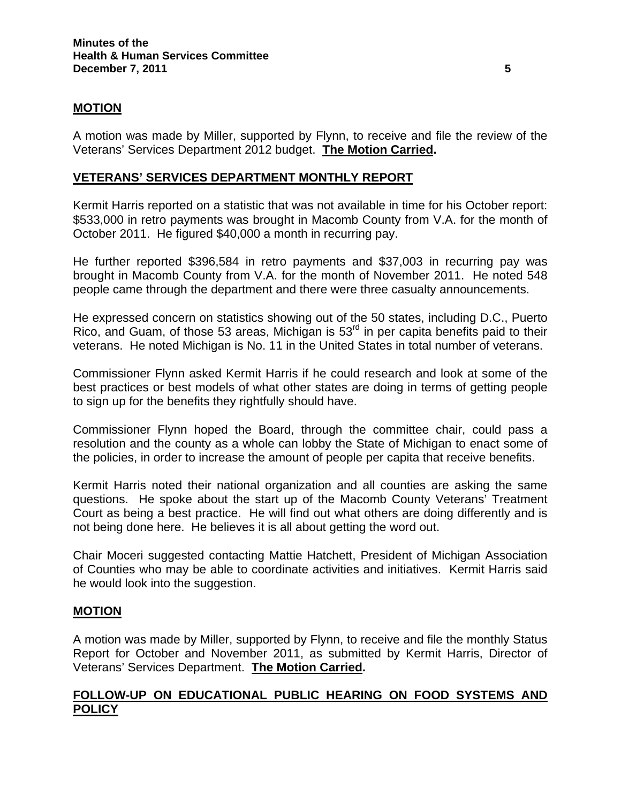# **MOTION**

A motion was made by Miller, supported by Flynn, to receive and file the review of the Veterans' Services Department 2012 budget. **The Motion Carried.** 

## **VETERANS' SERVICES DEPARTMENT MONTHLY REPORT**

Kermit Harris reported on a statistic that was not available in time for his October report: \$533,000 in retro payments was brought in Macomb County from V.A. for the month of October 2011. He figured \$40,000 a month in recurring pay.

He further reported \$396,584 in retro payments and \$37,003 in recurring pay was brought in Macomb County from V.A. for the month of November 2011. He noted 548 people came through the department and there were three casualty announcements.

He expressed concern on statistics showing out of the 50 states, including D.C., Puerto Rico, and Guam, of those 53 areas, Michigan is 53<sup>rd</sup> in per capita benefits paid to their veterans. He noted Michigan is No. 11 in the United States in total number of veterans.

Commissioner Flynn asked Kermit Harris if he could research and look at some of the best practices or best models of what other states are doing in terms of getting people to sign up for the benefits they rightfully should have.

Commissioner Flynn hoped the Board, through the committee chair, could pass a resolution and the county as a whole can lobby the State of Michigan to enact some of the policies, in order to increase the amount of people per capita that receive benefits.

Kermit Harris noted their national organization and all counties are asking the same questions. He spoke about the start up of the Macomb County Veterans' Treatment Court as being a best practice. He will find out what others are doing differently and is not being done here. He believes it is all about getting the word out.

Chair Moceri suggested contacting Mattie Hatchett, President of Michigan Association of Counties who may be able to coordinate activities and initiatives. Kermit Harris said he would look into the suggestion.

### **MOTION**

A motion was made by Miller, supported by Flynn, to receive and file the monthly Status Report for October and November 2011, as submitted by Kermit Harris, Director of Veterans' Services Department. **The Motion Carried.** 

# **FOLLOW-UP ON EDUCATIONAL PUBLIC HEARING ON FOOD SYSTEMS AND POLICY**